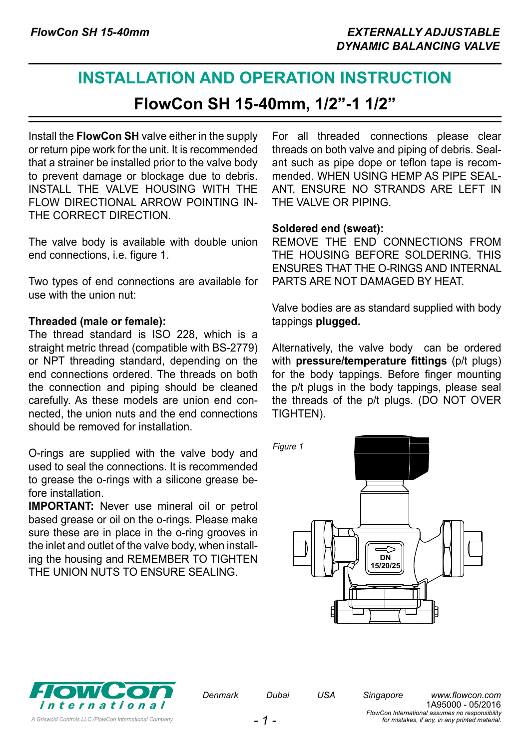# **INSTALLATION AND OPERATION INSTRUCTION**

**FlowCon SH 15-40mm, 1/2"-1 1/2"**

Install the **FlowCon SH** valve either in the supply or return pipe work for the unit. It is recommended that a strainer be installed prior to the valve body to prevent damage or blockage due to debris. INSTALL THE VALVE HOUSING WITH THE FLOW DIRECTIONAL ARROW POINTING IN-THE CORRECT DIRECTION.

The valve body is available with double union end connections, i.e. figure 1.

Two types of end connections are available for use with the union nut:

#### **Threaded (male or female):**

The thread standard is ISO 228, which is a straight metric thread (compatible with BS-2779) or NPT threading standard, depending on the end connections ordered. The threads on both the connection and piping should be cleaned carefully. As these models are union end connected, the union nuts and the end connections should be removed for installation.

O-rings are supplied with the valve body and used to seal the connections. It is recommended to grease the o-rings with a silicone grease before installation.

**IMPORTANT:** Never use mineral oil or petrol based grease or oil on the o-rings. Please make sure these are in place in the o-ring grooves in the inlet and outlet of the valve body, when installing the housing and REMEMBER TO TIGHTEN THE UNION NUTS TO ENSURE SEALING.

For all threaded connections please clear threads on both valve and piping of debris. Sealant such as pipe dope or teflon tape is recommended. WHEN USING HEMP AS PIPE SEAL-ANT, ENSURE NO STRANDS ARE LEFT IN THE VALVE OR PIPING.

#### **Soldered end (sweat):**

REMOVE THE END CONNECTIONS FROM THE HOUSING BEFORE SOLDERING. THIS ENSURES THAT THE O-RINGS AND INTERNAL PARTS ARE NOT DAMAGED BY HEAT.

Valve bodies are as standard supplied with body tappings **plugged.**

Alternatively, the valve body can be ordered with **pressure/temperature fittings** (p/t plugs) for the body tappings. Before finger mounting the p/t plugs in the body tappings, please seal the threads of the p/t plugs. (DO NOT OVER TIGHTEN).



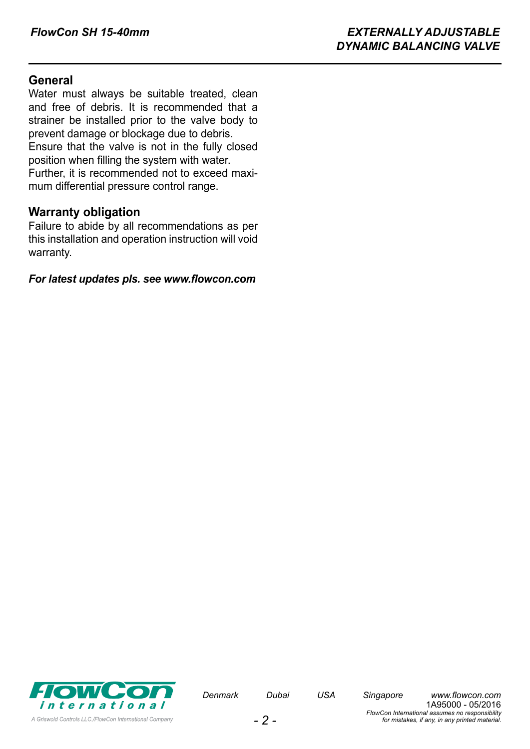## **General**

Water must always be suitable treated, clean and free of debris. It is recommended that a strainer be installed prior to the valve body to prevent damage or blockage due to debris.

Ensure that the valve is not in the fully closed position when filling the system with water.

Further, it is recommended not to exceed maximum differential pressure control range.

### **Warranty obligation**

Failure to abide by all recommendations as per this installation and operation instruction will void warranty.

*For latest updates pls. see [www.flowcon.com](http://www.flowcon.com)*

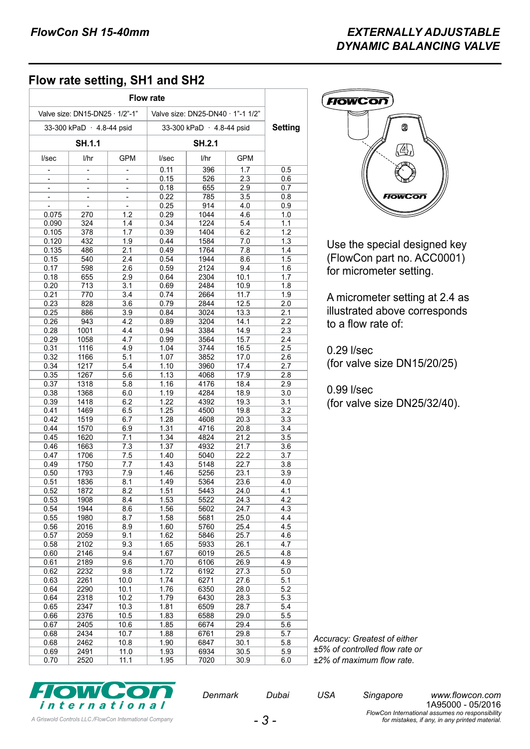# **Flow rate setting, SH1 and SH2**

|                                                                      | <b>Flow rate</b>          |            |                         |              |              |            |
|----------------------------------------------------------------------|---------------------------|------------|-------------------------|--------------|--------------|------------|
| Valve size: DN15-DN25 · 1/2"-1"<br>Valve size: DN25-DN40 · 1"-1 1/2" |                           |            |                         |              |              |            |
|                                                                      | 33-300 kPaD · 4.8-44 psid |            | 33-300 kPaD 4.8-44 psid |              |              | Setting    |
| SH.1.1                                                               |                           |            | SH.2.1                  |              |              |            |
| I/sec                                                                | l/hr                      | <b>GPM</b> | I/sec                   | l/hr         | <b>GPM</b>   |            |
|                                                                      |                           |            | 0.11                    | 396          | 1.7          | 0.5        |
| $\overline{\phantom{m}}$                                             | ÷                         | ÷          | 0.15                    | 526          | 2.3          | 0.6        |
|                                                                      | L                         |            | 0.18                    | 655          | 2.9          | 0.7        |
|                                                                      |                           |            | 0.22                    | 785          | 3.5          | 0.8        |
|                                                                      |                           | L,         | 0.25                    | 914          | 4.0          | 0.9        |
| 0.075                                                                | 270                       | 1.2        | 0.29                    | 1044         | 4.6          | 1.0        |
| 0.090                                                                | 324                       | 1.4        | 0.34                    | 1224         | 5.4          | 1.1        |
| 0.105                                                                | 378                       | 1.7        | 0.39                    | 1404         | 6.2          | 1.2        |
| 0.120                                                                | 432                       | 1.9        | 0.44                    | 1584         | 7.0          | 1.3        |
| 0.135                                                                | 486                       | 2.1        | 0.49                    | 1764         | 7.8          | 1.4        |
| 0.15                                                                 | 540                       | 2.4        | 0.54                    | 1944         | 8.6          | 1.5        |
| 0.17                                                                 | 598                       | 2.6        | 0.59                    | 2124         | 9.4          | 1.6        |
| 0.18                                                                 | 655                       | 2.9        | 0.64                    | 2304         | 10.1         | 1.7        |
| 0.20                                                                 | 713                       | 3.1        | 0.69                    | 2484         | 10.9         | 1.8        |
| 0.21                                                                 | 770                       | 3.4        | 0.74                    | 2664         | 11.7         | 1.9        |
| 0.23                                                                 | 828                       | 3.6        | 0.79                    | 2844         | 12.5         | 2.0        |
| 0.25                                                                 | 886                       | 3.9        | 0.84                    | 3024         | 13.3         | 2.1        |
| 0.26                                                                 | 943                       | 4.2        | 0.89                    | 3204         | 14.1         | 2.2        |
| 0.28                                                                 | 1001                      | 4.4        | 0.94                    | 3384         | 14.9         | 2.3        |
| 0.29                                                                 | 1058                      | 4.7        | 0.99                    | 3564         | 15.7         | 2.4        |
| 0.31                                                                 | 1116                      | 4.9        | 1.04                    | 3744         | 16.5         | 2.5        |
| 0.32                                                                 | 1166                      | 5.1        | 1.07                    | 3852         | 17.0         | 2.6        |
| 0.34                                                                 | 1217                      | 5.4        | 1.10                    | 3960         | 17.4         | 2.7        |
| 0.35                                                                 | 1267                      | 5.6        | 1.13                    | 4068         | 17.9         | 2.8        |
| 0.37                                                                 | 1318                      | 5.8        | 1.16                    | 4176         | 18.4         | 2.9        |
| 0.38<br>0.39                                                         | 1368<br>1418              | 6.0<br>6.2 | 1.19<br>1.22            | 4284<br>4392 | 18.9<br>19.3 | 3.0<br>3.1 |
| 0.41                                                                 | 1469                      | 6.5        | 1.25                    | 4500         | 19.8         | 3.2        |
| 0.42                                                                 | 1519                      | 6.7        | 1.28                    | 4608         | 20.3         | 3.3        |
| 0.44                                                                 | 1570                      | 6.9        | 1.31                    | 4716         | 20.8         | 3.4        |
| 0.45                                                                 | 1620                      | 7.1        | 1.34                    | 4824         | 21.2         | 3.5        |
| 0.46                                                                 | 1663                      | 7.3        | 1.37                    | 4932         | 21.7         | 3.6        |
| 0.47                                                                 | 1706                      | 7.5        | 1.40                    | 5040         | 22.2         | 3.7        |
| 0.49                                                                 | 1750                      | 7.7        | 1.43                    | 5148         | 22.7         | 3.8        |
| 0.50                                                                 | 1793                      | 7.9        | 1.46                    | 5256         | 23.1         | 3.9        |
| 0.51                                                                 | 1836                      | 8.1        | 1.49                    | 5364         | 23.6         | 4.0        |
| 0.52                                                                 | 1872                      | 8.2        | 1.51                    | 5443         | 24.0         | 4.1        |
| 0.53                                                                 | 1908                      | 8.4        | 1.53                    | 5522         | 24.3         | 4.2        |
| 0.54                                                                 | 1944                      | 8.6        | 1.56                    | 5602         | 24.7         | 4.3        |
| 0.55                                                                 | 1980                      | 8.7        | 1.58                    | 5681         | 25.0         | 4.4        |
| 0.56                                                                 | 2016                      | 8.9        | 1.60                    | 5760         | 25.4         | 4.5        |
| 0.57                                                                 | 2059                      | 9.1        | 1.62                    | 5846         | 25.7         | 4.6        |
| 0.58                                                                 | 2102                      | 9.3        | 1.65                    | 5933         | 26.1         | 4.7        |
| 0.60                                                                 | 2146                      | 9.4        | 1.67                    | 6019         | 26.5         | 4.8        |
| 0.61                                                                 | 2189                      | 9.6        | 1.70                    | 6106         | 26.9         | 4.9        |
| 0.62                                                                 | 2232                      | 9.8        | 1.72                    | 6192         | 27.3         | 5.0        |
| 0.63                                                                 | 2261                      | 10.0       | 1.74                    | 6271         | 27.6         | 5.1        |
| 0.64                                                                 | 2290                      | 10.1       | 1.76                    | 6350         | 28.0         | 5.2        |
| 0.64                                                                 | 2318                      | 10.2       | 1.79                    | 6430         | 28.3         | 5.3        |
| 0.65                                                                 | 2347                      | 10.3       | 1.81                    | 6509         | 28.7         | 5.4        |
| 0.66                                                                 | 2376                      | 10.5       | 1.83                    | 6588         | 29.0         | 5.5        |
| 0.67                                                                 | 2405                      | 10.6       | 1.85                    | 6674         | 29.4         | 5.6        |
| 0.68                                                                 | 2434                      | 10.7       | 1.88                    | 6761         | 29.8         | 5.7        |
| 0.68                                                                 | 2462                      | 10.8       | 1.90                    | 6847         | 30.1         | 5.8        |
| 0.69                                                                 | 2491                      | 11.0       | 1.93                    | 6934         | 30.5         | 5.9        |
| 0.70                                                                 | 2520                      | 11.1       | 1.95                    | 7020         | 30.9         | 6.0        |



Use the special designed key (FlowCon part no. ACC0001) for micrometer setting.

A micrometer setting at 2.4 as illustrated above corresponds to a flow rate of:

0.29 l/sec (for valve size DN15/20/25)

0.99 l/sec (for valve size DN25/32/40).

*Accuracy: Greatest of either ±5% of controlled flow rate or ±2% of maximum flow rate.*